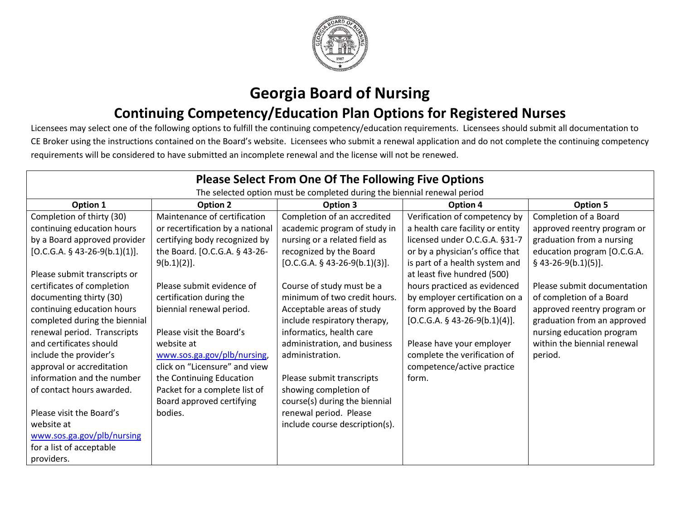

## **Georgia Board of Nursing**

## **Continuing Competency/Education Plan Options for Registered Nurses**

Licensees may select one of the following options to fulfill the continuing competency/education requirements. Licensees should submit all documentation to CE Broker using the instructions contained on the Board's website. Licensees who submit a renewal application and do not complete the continuing competency requirements will be considered to have submitted an incomplete renewal and the license will not be renewed.

| <b>Please Select From One Of The Following Five Options</b>              |                                  |                                 |                                  |                             |  |
|--------------------------------------------------------------------------|----------------------------------|---------------------------------|----------------------------------|-----------------------------|--|
| The selected option must be completed during the biennial renewal period |                                  |                                 |                                  |                             |  |
| Option 1                                                                 | <b>Option 2</b>                  | Option 3                        | Option 4                         | <b>Option 5</b>             |  |
| Completion of thirty (30)                                                | Maintenance of certification     | Completion of an accredited     | Verification of competency by    | Completion of a Board       |  |
| continuing education hours                                               | or recertification by a national | academic program of study in    | a health care facility or entity | approved reentry program or |  |
| by a Board approved provider                                             | certifying body recognized by    | nursing or a related field as   | licensed under O.C.G.A. §31-7    | graduation from a nursing   |  |
| $[O.C.G.A. § 43-26-9(b.1)(1)].$                                          | the Board. [O.C.G.A. § 43-26-    | recognized by the Board         | or by a physician's office that  | education program [O.C.G.A. |  |
|                                                                          | $9(b.1)(2)$ .                    | $[O.C.G.A. § 43-26-9(b.1)(3)].$ | is part of a health system and   | $§$ 43-26-9(b.1)(5)].       |  |
| Please submit transcripts or                                             |                                  |                                 | at least five hundred (500)      |                             |  |
| certificates of completion                                               | Please submit evidence of        | Course of study must be a       | hours practiced as evidenced     | Please submit documentation |  |
| documenting thirty (30)                                                  | certification during the         | minimum of two credit hours.    | by employer certification on a   | of completion of a Board    |  |
| continuing education hours                                               | biennial renewal period.         | Acceptable areas of study       | form approved by the Board       | approved reentry program or |  |
| completed during the biennial                                            |                                  | include respiratory therapy,    | $[O.C.G.A. § 43-26-9(b.1)(4)].$  | graduation from an approved |  |
| renewal period. Transcripts                                              | Please visit the Board's         | informatics, health care        |                                  | nursing education program   |  |
| and certificates should                                                  | website at                       | administration, and business    | Please have your employer        | within the biennial renewal |  |
| include the provider's                                                   | www.sos.ga.gov/plb/nursing,      | administration.                 | complete the verification of     | period.                     |  |
| approval or accreditation                                                | click on "Licensure" and view    |                                 | competence/active practice       |                             |  |
| information and the number                                               | the Continuing Education         | Please submit transcripts       | form.                            |                             |  |
| of contact hours awarded.                                                | Packet for a complete list of    | showing completion of           |                                  |                             |  |
|                                                                          | Board approved certifying        | course(s) during the biennial   |                                  |                             |  |
| Please visit the Board's                                                 | bodies.                          | renewal period. Please          |                                  |                             |  |
| website at                                                               |                                  | include course description(s).  |                                  |                             |  |
| www.sos.ga.gov/plb/nursing                                               |                                  |                                 |                                  |                             |  |
| for a list of acceptable                                                 |                                  |                                 |                                  |                             |  |
| providers.                                                               |                                  |                                 |                                  |                             |  |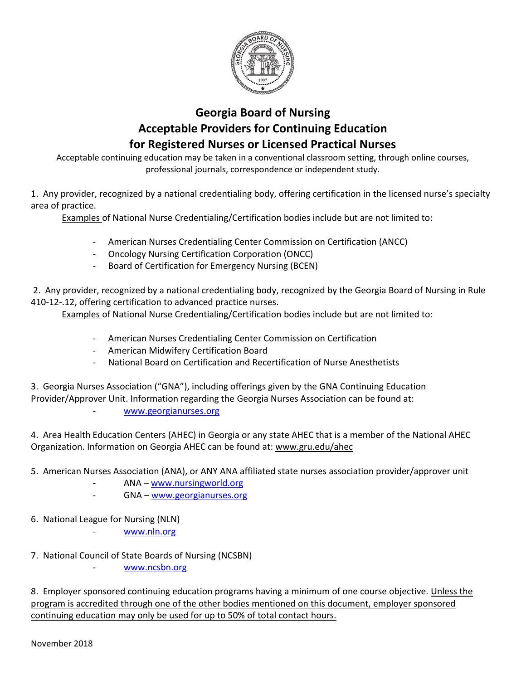

### **Georgia Board of Nursing Acceptable Providers for Continuing Education for Registered Nurses or Licensed Practical Nurses**

Acceptable continuing education may be taken in a conventional classroom setting, through online courses, professional journals, correspondence or independent study.

1. Any provider, recognized by a national credentialing body, offering certification in the licensed nurse's specialty area of practice.

Examples of National Nurse Credentialing/Certification bodies include but are not limited to:

- American Nurses Credentialing Center Commission on Certification (ANCC)
- Oncology Nursing Certification Corporation (ONCC)
- Board of Certification for Emergency Nursing (BCEN)

2. Any provider, recognized by a national credentialing body, recognized by the Georgia Board of Nursing in Rule 410-12-.12, offering certification to advanced practice nurses.

Examples of National Nurse Credentialing/Certification bodies include but are not limited to:

- American Nurses Credentialing Center Commission on Certification
- American Midwifery Certification Board
- National Board on Certification and Recertification of Nurse Anesthetists

3. Georgia Nurses Association ("GNA"), including offerings given by the GNA Continuing Education Provider/Approver Unit. Information regarding the Georgia Nurses Association can be found at:

[www.georgianurses.org](http://www.georgianurses.org/)

4. Area Health Education Centers (AHEC) in Georgia or any state AHEC that is a member of the National AHEC Organization. Information on Georgia AHEC can be found at: www.gru.edu/ahec

- 5. American Nurses Association (ANA), or ANY ANA affiliated state nurses association provider/approver unit
	- ANA [www.nursingworld.org](http://www.nursingworld.org/)
	- GNA [www.georgianurses.org](http://www.georgianurses.org/)
- 6. National League for Nursing (NLN)
	- [www.nln.org](http://www.nln.org/)
- 7. National Council of State Boards of Nursing (NCSBN)

[www.ncsbn.org](http://www.ncsbn.org/)

8. Employer sponsored continuing education programs having a minimum of one course objective. Unless the program is accredited through one of the other bodies mentioned on this document, employer sponsored continuing education may only be used for up to 50% of total contact hours.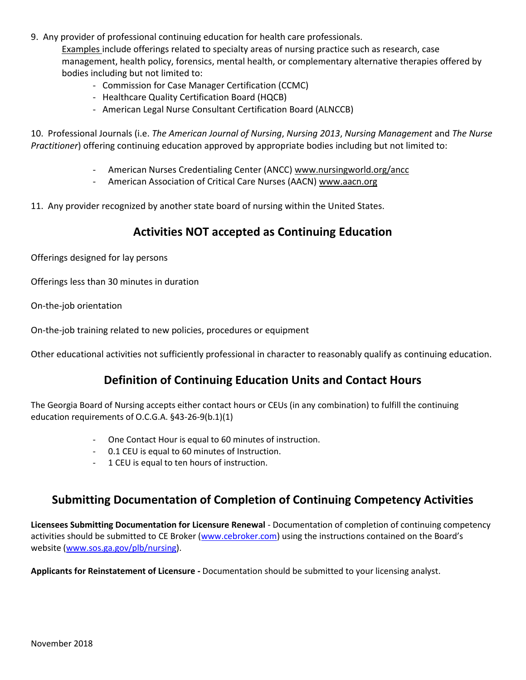9. Any provider of professional continuing education for health care professionals.

Examples include offerings related to specialty areas of nursing practice such as research, case management, health policy, forensics, mental health, or complementary alternative therapies offered by bodies including but not limited to:

- Commission for Case Manager Certification (CCMC)
- Healthcare Quality Certification Board (HQCB)
- American Legal Nurse Consultant Certification Board (ALNCCB)

10. Professional Journals (i.e. *The American Journal of Nursing*, *Nursing 2013*, *Nursing Management* and *The Nurse Practitioner*) offering continuing education approved by appropriate bodies including but not limited to:

- American Nurses Credentialing Center (ANCC) www.nursingworld.org/ancc
- American Association of Critical Care Nurses (AACN) www.aacn.org
- 11. Any provider recognized by another state board of nursing within the United States.

#### **Activities NOT accepted as Continuing Education**

Offerings designed for lay persons

Offerings less than 30 minutes in duration

On-the-job orientation

On-the-job training related to new policies, procedures or equipment

Other educational activities not sufficiently professional in character to reasonably qualify as continuing education.

#### **Definition of Continuing Education Units and Contact Hours**

The Georgia Board of Nursing accepts either contact hours or CEUs (in any combination) to fulfill the continuing education requirements of O.C.G.A. §43-26-9(b.1)(1)

- One Contact Hour is equal to 60 minutes of instruction.
- 0.1 CEU is equal to 60 minutes of Instruction.
- 1 CEU is equal to ten hours of instruction.

#### **Submitting Documentation of Completion of Continuing Competency Activities**

**Licensees Submitting Documentation for Licensure Renewal** - Documentation of completion of continuing competency activities should be submitted to CE Broker [\(www.cebroker.com](http://www.cebroker.com/)) using the instructions contained on the Board's website [\(www.sos.ga.gov/plb/nursing\)](http://www.sos.ga.gov/plb/nursing).

**Applicants for Reinstatement of Licensure -** Documentation should be submitted to your licensing analyst.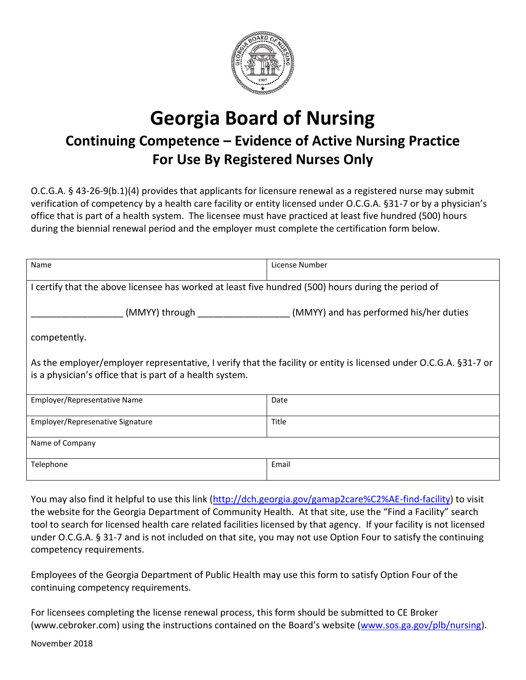

# **Georgia Board of Nursing Continuing Competence – Evidence of Active Nursing Practice For Use By Registered Nurses Only**

O.C.G.A. § 43-26-9(b.1)(4) provides that applicants for licensure renewal as a registered nurse may submit verification of competency by a health care facility or entity licensed under O.C.G.A. §31-7 or by a physician's office that is part of a health system. The licensee must have practiced at least five hundred (500) hours during the biennial renewal period and the employer must complete the certification form below.

| Name                                                                                                              | License Number                          |  |  |  |
|-------------------------------------------------------------------------------------------------------------------|-----------------------------------------|--|--|--|
| I certify that the above licensee has worked at least five hundred (500) hours during the period of               |                                         |  |  |  |
| (MMYY) through __________                                                                                         | (MMYY) and has performed his/her duties |  |  |  |
| competently.                                                                                                      |                                         |  |  |  |
| As the employer/employer representative, I verify that the facility or entity is licensed under O.C.G.A. §31-7 or |                                         |  |  |  |
| is a physician's office that is part of a health system.                                                          |                                         |  |  |  |
| Employer/Representative Name                                                                                      | Date                                    |  |  |  |
| Employer/Represenative Signature                                                                                  | Title                                   |  |  |  |
| Name of Company                                                                                                   |                                         |  |  |  |
| Telephone                                                                                                         | Email                                   |  |  |  |

You may also find it helpful to use this link [\(http://dch.georgia.gov/gamap2care%C2%AE-find-facility\)](http://dch.georgia.gov/gamap2care%C2%AE-find-facility) to visit the website for the Georgia Department of Community Health. At that site, use the "Find a Facility" search tool to search for licensed health care related facilities licensed by that agency. If your facility is not licensed under O.C.G.A. § 31-7 and is not included on that site, you may not use Option Four to satisfy the continuing competency requirements.

Employees of the Georgia Department of Public Health may use this form to satisfy Option Four of the continuing competency requirements.

For licensees completing the license renewal process, this form should be submitted to CE Broker (www.cebroker.com) using the instructions contained on the Board's website ([www.sos.ga.gov/plb/nursing\)](http://www.sos.ga.gov/plb/nursing).

November 2018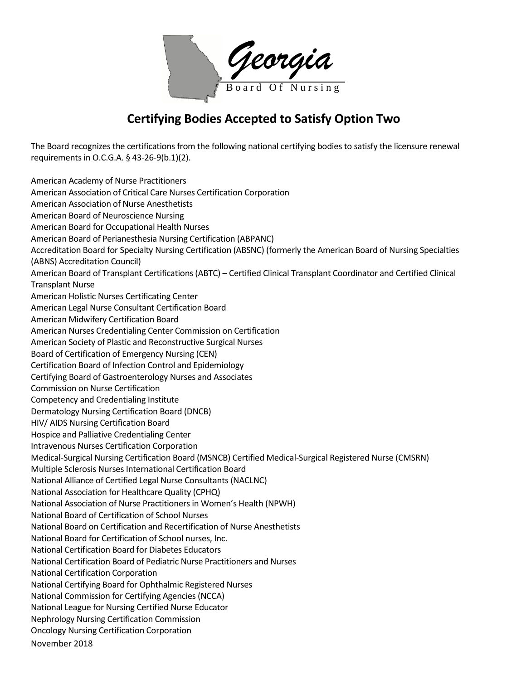*Georgia* B o a r d O f N u r s i n g

### **Certifying Bodies Accepted to Satisfy Option Two**

The Board recognizes the certifications from the following national certifying bodies to satisfy the licensure renewal requirements in O.C.G.A. § 43-26-9(b.1)(2).

November 2018 American Academy of Nurse Practitioners American Association of Critical Care Nurses Certification Corporation American Association of Nurse Anesthetists American Board of Neuroscience Nursing American Board for Occupational Health Nurses American Board of Perianesthesia Nursing Certification (ABPANC) Accreditation Board for Specialty Nursing Certification (ABSNC) (formerly the American Board of Nursing Specialties (ABNS) Accreditation Council) American Board of Transplant Certifications (ABTC) – Certified Clinical Transplant Coordinator and Certified Clinical Transplant Nurse American Holistic Nurses Certificating Center American Legal Nurse Consultant Certification Board American Midwifery Certification Board American Nurses Credentialing Center Commission on Certification American Society of Plastic and Reconstructive Surgical Nurses Board of Certification of Emergency Nursing (CEN) Certification Board of Infection Control and Epidemiology Certifying Board of Gastroenterology Nurses and Associates Commission on Nurse Certification Competency and Credentialing Institute Dermatology Nursing Certification Board (DNCB) HIV/ AIDS Nursing Certification Board Hospice and Palliative Credentialing Center Intravenous Nurses Certification Corporation Medical-Surgical Nursing Certification Board (MSNCB) Certified Medical-Surgical Registered Nurse (CMSRN) Multiple Sclerosis Nurses International Certification Board National Alliance of Certified Legal Nurse Consultants (NACLNC) National Association for Healthcare Quality (CPHQ) National Association of Nurse Practitioners in Women's Health (NPWH) National Board of Certification of School Nurses National Board on Certification and Recertification of Nurse Anesthetists National Board for Certification of School nurses, Inc. National Certification Board for Diabetes Educators National Certification Board of Pediatric Nurse Practitioners and Nurses National Certification Corporation National Certifying Board for Ophthalmic Registered Nurses National Commission for Certifying Agencies (NCCA) National League for Nursing Certified Nurse Educator Nephrology Nursing Certification Commission Oncology Nursing Certification Corporation